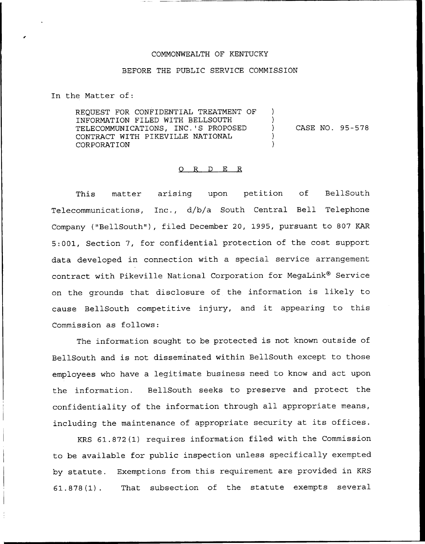## COMMONWEALTH OF KENTUCKY

## BEFORE THE PUBLIC SERVICE COMMISSION

In the Matter of:

REQUEST FOR CONFIDENTIAL TREATMENT OF INFORMATION FILED WITH BELLSOUTH TELECOMMUNICATIONS, INC.'S PROPOSED CONTRACT WITH PIKEVILLE NATIONAL CORPORATION ) ) ) CASE NO. 95-578 ) )

## 0 R <sup>D</sup> E R

This matter arising upon petition of BellSouth Telecommunications, Inc., d/b/a South Central Bell Telephone Company ("BellSouth"), filed December 20, 1995, pursuant to 807 KAR 5:001, Section 7, for confidential protection of the cost support data developed in connection with a special service arrangement contract with Pikeville National Corporation for MegaLink® Service on the grounds that disclosure of the information is likely to cause BellSouth competitive injury, and it appearing to this Commission as follows:

The information sought to be protected is not known outside of BellSouth and is not disseminated within BellSouth except to those employees who have a legitimate business need to know and act upon the information. BellSouth seeks to preserve and protect the confidentiality of the information through all appropriate means, including the maintenance of appropriate security at its offices.

KRS 61.872(1) requires information filed with the Commission to be available for public inspection unless specifically exempted by statute. Exemptions from this requirement are provided in KRS 61.878(1). That subsection of the statute exempts several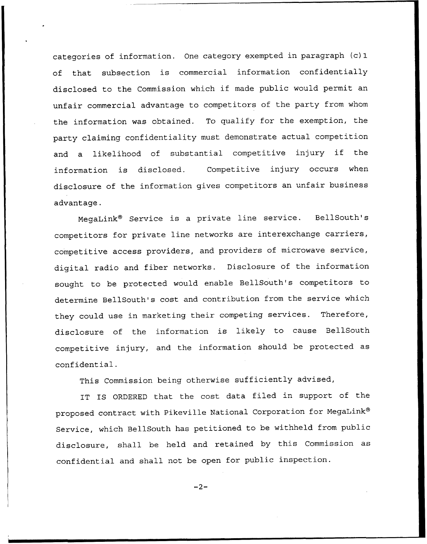categories of information. One category exempted in paragraph (c) 1 of that subsection is commercial information confidentially disclosed to the Commission which if made public would permit an unfair commercial advantage to competitors of the party from whom the information was obtained. To qualify for the exemption, the party claiming confidentiality must demonstrate actual competition and <sup>a</sup> likelihood of substantial competitive injury if the information is disclosed. Competitive injury occurs when disclosure of the information gives competitors an unfair business advantage.

MegaLink<sup>®</sup> Service is a private line service. BellSouth's competitors for private line networks are interexchange carriers, competitive access providers, and providers of microwave service, digital radio and fiber networks. Disclosure of the information sought to be protected would enable BellSouth's competitors to determine BellSouth's cost and contribution from the service which they could use in marketing their competing services. Therefore, disclosure of the information is likely to cause BellSouth competitive injury, and the information should be protected as confidential.

This Commission being otherwise sufficiently advised,

IT IS ORDERED that the cost data filed in support of the proposed contract with Pikeville National Corporation for MegaLink® Service, which BellSouth has petitioned to be withheld from public disclosure, shall be held and retained by this Commission as confidential and shall not be open for public inspection.

 $-2-$